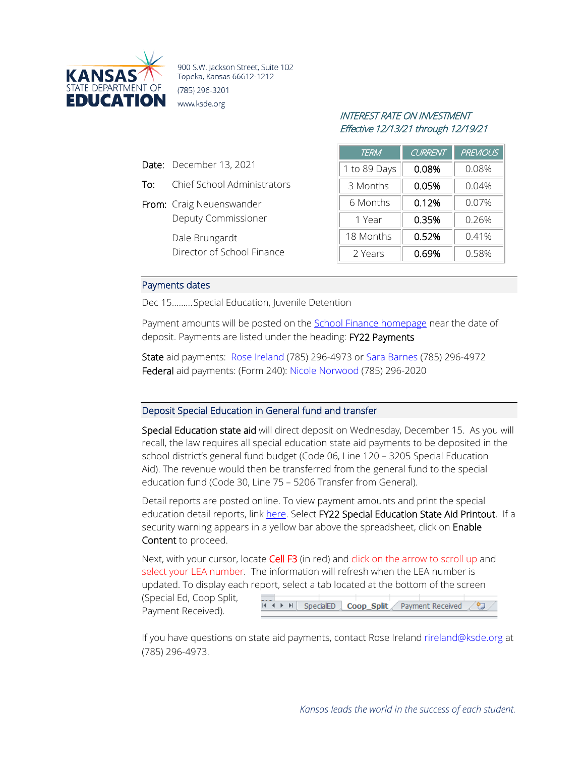

900 S.W. Jackson Street, Suite 102 Topeka, Kansas 66612-1212 (785) 296-3201 www.ksde.org

## INTEREST RATE ON INVESTMENT Effective 12/13/21 through 12/19/21

| <b>TERM</b>  | <b>CURRENT</b> | <b>PREVIOUS</b> |
|--------------|----------------|-----------------|
| 1 to 89 Days | 0.08%          | 0.08%           |
| 3 Months     | 0.05%          | 0.04%           |
| 6 Months     | 0.12%          | $0.07\%$        |
| 1 Year       | 0.35%          | 0.26%           |
| 18 Months    | 0.52%          | 0.41%           |
| 2 Years      | 0.69%          | 0.58%           |

## Payments dates

Date: December 13, 2021

From: Craig Neuenswander

Dale Brungardt

To: Chief School Administrators

Deputy Commissioner

Director of School Finance

Dec 15.........Special Education, Juvenile Detention

Payment amounts will be posted on the [School Finance homepage](http://www.ksde.org/Agency/Fiscal-and-Administrative-Services/School-Finance/Payment-Information) near the date of deposit. Payments are listed under the heading: FY22 Payments

State aid payments: [Rose Ireland](mailto:rireland@ksde.org) (785) 296-4973 or [Sara Barnes](mailto:sbarnes@ksde.org) (785) 296-4972 Federal aid payments: (Form 240): [Nicole Norwood](mailto:nnorwood@ksde.org) (785) 296-2020

## Deposit Special Education in General fund and transfer

Special Education state aid will direct deposit on Wednesday, December 15. As you will recall, the law requires all special education state aid payments to be deposited in the school district's general fund budget (Code 06, Line 120 – 3205 Special Education Aid). The revenue would then be transferred from the general fund to the special education fund (Code 30, Line 75 – 5206 Transfer from General).

Detail reports are posted online. To view payment amounts and print the special education detail reports, link [here.](http://www.ksde.org/Agency/FiscalandAdministrativeServices/SchoolFinance/PaymentInformation.aspx) Select FY22 Special Education State Aid Printout. If a security warning appears in a yellow bar above the spreadsheet, click on Enable Content to proceed.

Next, with your cursor, locate Cell F3 (in red) and click on the arrow to scroll up and select your LEA number. The information will refresh when the LEA number is updated. To display each report, select a tab located at the bottom of the screen

(Special Ed, Coop Split, Payment Received).



If you have questions on state aid payments, contact Rose Ireland [rireland@ksde.org](mailto:rireland@ksde.org) at (785) 296-4973.